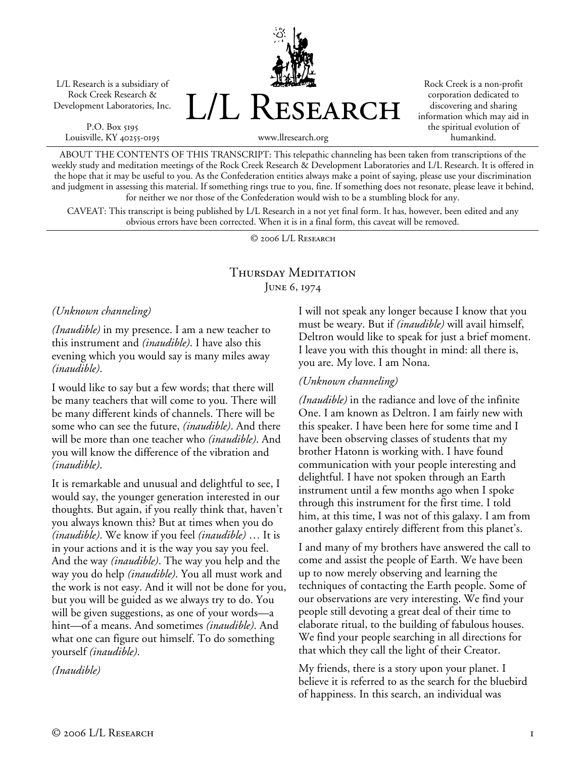L/L Research is a subsidiary of Rock Creek Research & Development Laboratories, Inc.

P.O. Box 5195 Louisville, KY 40255-0195 L/L Research

Rock Creek is a non-profit corporation dedicated to discovering and sharing information which may aid in the spiritual evolution of humankind.

www.llresearch.org

ABOUT THE CONTENTS OF THIS TRANSCRIPT: This telepathic channeling has been taken from transcriptions of the weekly study and meditation meetings of the Rock Creek Research & Development Laboratories and L/L Research. It is offered in the hope that it may be useful to you. As the Confederation entities always make a point of saying, please use your discrimination and judgment in assessing this material. If something rings true to you, fine. If something does not resonate, please leave it behind, for neither we nor those of the Confederation would wish to be a stumbling block for any.

CAVEAT: This transcript is being published by L/L Research in a not yet final form. It has, however, been edited and any obvious errors have been corrected. When it is in a final form, this caveat will be removed.

© 2006 L/L Research

## Thursday Meditation June 6, 1974

*(Unknown channeling)* 

*(Inaudible)* in my presence. I am a new teacher to this instrument and *(inaudible)*. I have also this evening which you would say is many miles away *(inaudible)*.

I would like to say but a few words; that there will be many teachers that will come to you. There will be many different kinds of channels. There will be some who can see the future, *(inaudible)*. And there will be more than one teacher who *(inaudible)*. And you will know the difference of the vibration and *(inaudible)*.

It is remarkable and unusual and delightful to see, I would say, the younger generation interested in our thoughts. But again, if you really think that, haven't you always known this? But at times when you do *(inaudible)*. We know if you feel *(inaudible)* … It is in your actions and it is the way you say you feel. And the way *(inaudible)*. The way you help and the way you do help *(inaudible)*. You all must work and the work is not easy. And it will not be done for you, but you will be guided as we always try to do. You will be given suggestions, as one of your words—a hint—of a means. And sometimes *(inaudible)*. And what one can figure out himself. To do something yourself *(inaudible)*.

*(Inaudible)* 

I will not speak any longer because I know that you must be weary. But if *(inaudible)* will avail himself, Deltron would like to speak for just a brief moment. I leave you with this thought in mind: all there is, you are. My love. I am Nona.

## *(Unknown channeling)*

*(Inaudible)* in the radiance and love of the infinite One. I am known as Deltron. I am fairly new with this speaker. I have been here for some time and I have been observing classes of students that my brother Hatonn is working with. I have found communication with your people interesting and delightful. I have not spoken through an Earth instrument until a few months ago when I spoke through this instrument for the first time. I told him, at this time, I was not of this galaxy. I am from another galaxy entirely different from this planet's.

I and many of my brothers have answered the call to come and assist the people of Earth. We have been up to now merely observing and learning the techniques of contacting the Earth people. Some of our observations are very interesting. We find your people still devoting a great deal of their time to elaborate ritual, to the building of fabulous houses. We find your people searching in all directions for that which they call the light of their Creator.

My friends, there is a story upon your planet. I believe it is referred to as the search for the bluebird of happiness. In this search, an individual was